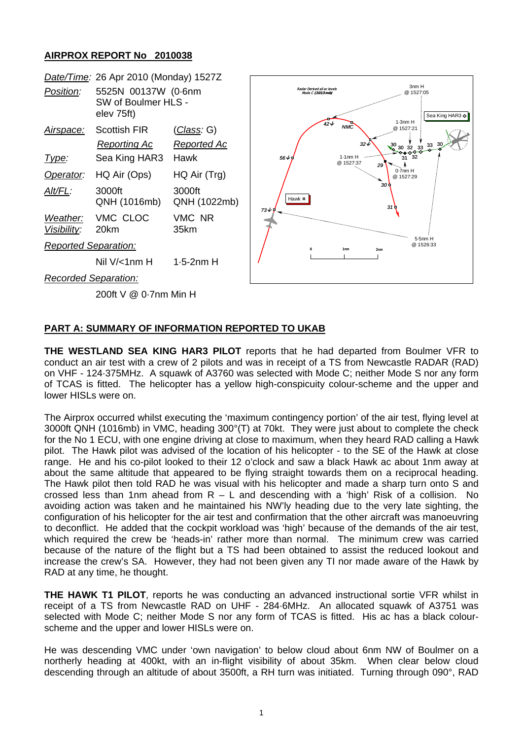## **AIRPROX REPORT No 2010038**

|                             | Date/Time: 26 Apr 2010 (Monday) 1527Z                    |                                          |                                                |                                                              |
|-----------------------------|----------------------------------------------------------|------------------------------------------|------------------------------------------------|--------------------------------------------------------------|
| Position:                   | 5525N 00137W (0.6nm<br>SW of Boulmer HLS -<br>elev 75ft) |                                          | Radar Derived all ac levels<br>Mode C (1013mb) | 3nm H<br>@ 1527:05<br>Sea King HAR3 +<br>1.3nmH              |
| <u>Airspace:</u>            | Scottish FIR<br>Reporting Ac                             | <u>(Class</u> : G)<br><b>Reported Ac</b> | 42V<br><b>NMC</b>                              | @ 1527:21<br>$32\sqrt{ }$<br>$30$ 30 32 33 $33$<br>$33$ $33$ |
| Type:                       | Sea King HAR3                                            | Hawk                                     | $1.1nm$ H<br>$56 \sqrt{9}$<br>@ 1527:37        | $31 \overline{\smash{)}32}$<br>29                            |
| Operator:                   | HQ Air (Ops)                                             | HQ Air (Trg)                             |                                                | $0.7$ nm $H$<br>@ 1527:29                                    |
| Alt/FL:                     | 3000ft<br>QNH (1016mb)                                   | 3000ft<br>QNH (1022mb)                   | Hawk $\blacksquare$<br>73↓∮                    | 30 L<br>31 P                                                 |
| Weather:<br>Visibility:     | VMC CLOC<br>20km                                         | VMC NR<br>35km                           |                                                |                                                              |
| <b>Reported Separation:</b> |                                                          |                                          | $\Omega$<br>1 <sub>nm</sub>                    | 5-5nm H<br>@ 1526:33<br>2 <sub>nm</sub>                      |
|                             | Nil $V$ /<1nm H                                          | $1.5-2nm$ H                              |                                                |                                                              |
| <b>Recorded Separation:</b> |                                                          |                                          |                                                |                                                              |
|                             | 200ft V @ 0-7nm Min H                                    |                                          |                                                |                                                              |

## **PART A: SUMMARY OF INFORMATION REPORTED TO UKAB**

**THE WESTLAND SEA KING HAR3 PILOT** reports that he had departed from Boulmer VFR to conduct an air test with a crew of 2 pilots and was in receipt of a TS from Newcastle RADAR (RAD) on VHF - 124·375MHz. A squawk of A3760 was selected with Mode C; neither Mode S nor any form of TCAS is fitted. The helicopter has a yellow high-conspicuity colour-scheme and the upper and lower HISLs were on.

The Airprox occurred whilst executing the 'maximum contingency portion' of the air test, flying level at 3000ft QNH (1016mb) in VMC, heading 300°(T) at 70kt. They were just about to complete the check for the No 1 ECU, with one engine driving at close to maximum, when they heard RAD calling a Hawk pilot. The Hawk pilot was advised of the location of his helicopter - to the SE of the Hawk at close range. He and his co-pilot looked to their 12 o'clock and saw a black Hawk ac about 1nm away at about the same altitude that appeared to be flying straight towards them on a reciprocal heading. The Hawk pilot then told RAD he was visual with his helicopter and made a sharp turn onto S and crossed less than 1nm ahead from  $R - L$  and descending with a 'high' Risk of a collision. No avoiding action was taken and he maintained his NW'ly heading due to the very late sighting, the configuration of his helicopter for the air test and confirmation that the other aircraft was manoeuvring to deconflict. He added that the cockpit workload was 'high' because of the demands of the air test, which required the crew be 'heads-in' rather more than normal. The minimum crew was carried because of the nature of the flight but a TS had been obtained to assist the reduced lookout and increase the crew's SA. However, they had not been given any TI nor made aware of the Hawk by RAD at any time, he thought.

**THE HAWK T1 PILOT**, reports he was conducting an advanced instructional sortie VFR whilst in receipt of a TS from Newcastle RAD on UHF - 284·6MHz. An allocated squawk of A3751 was selected with Mode C; neither Mode S nor any form of TCAS is fitted. His ac has a black colourscheme and the upper and lower HISLs were on.

He was descending VMC under 'own navigation' to below cloud about 6nm NW of Boulmer on a northerly heading at 400kt, with an in-flight visibility of about 35km. When clear below cloud descending through an altitude of about 3500ft, a RH turn was initiated. Turning through 090°, RAD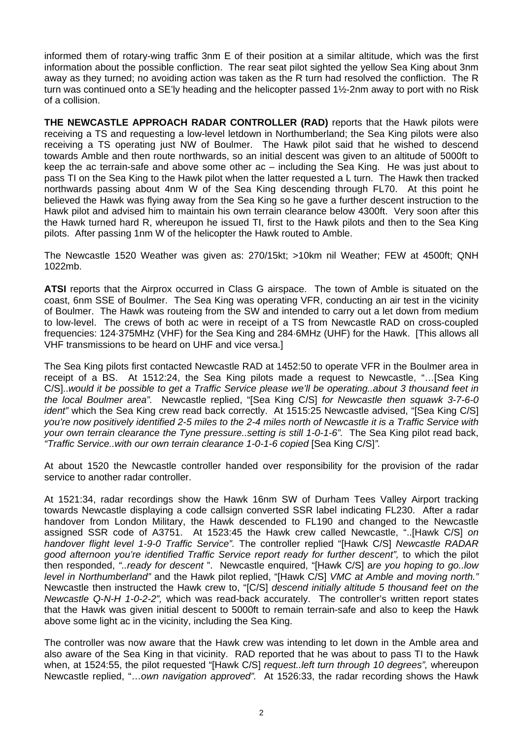informed them of rotary-wing traffic 3nm E of their position at a similar altitude, which was the first information about the possible confliction. The rear seat pilot sighted the yellow Sea King about 3nm away as they turned; no avoiding action was taken as the R turn had resolved the confliction. The R turn was continued onto a SE'ly heading and the helicopter passed 1½-2nm away to port with no Risk of a collision.

**THE NEWCASTLE APPROACH RADAR CONTROLLER (RAD)** reports that the Hawk pilots were receiving a TS and requesting a low-level letdown in Northumberland; the Sea King pilots were also receiving a TS operating just NW of Boulmer. The Hawk pilot said that he wished to descend towards Amble and then route northwards, so an initial descent was given to an altitude of 5000ft to keep the ac terrain-safe and above some other ac – including the Sea King. He was just about to pass TI on the Sea King to the Hawk pilot when the latter requested a L turn. The Hawk then tracked northwards passing about 4nm W of the Sea King descending through FL70. At this point he believed the Hawk was flying away from the Sea King so he gave a further descent instruction to the Hawk pilot and advised him to maintain his own terrain clearance below 4300ft. Very soon after this the Hawk turned hard R, whereupon he issued TI, first to the Hawk pilots and then to the Sea King pilots. After passing 1nm W of the helicopter the Hawk routed to Amble.

The Newcastle 1520 Weather was given as: 270/15kt; >10km nil Weather; FEW at 4500ft; QNH 1022mb.

**ATSI** reports that the Airprox occurred in Class G airspace. The town of Amble is situated on the coast, 6nm SSE of Boulmer. The Sea King was operating VFR, conducting an air test in the vicinity of Boulmer. The Hawk was routeing from the SW and intended to carry out a let down from medium to low-level. The crews of both ac were in receipt of a TS from Newcastle RAD on cross-coupled frequencies: 124·375MHz (VHF) for the Sea King and 284·6MHz (UHF) for the Hawk. [This allows all VHF transmissions to be heard on UHF and vice versa.]

The Sea King pilots first contacted Newcastle RAD at 1452:50 to operate VFR in the Boulmer area in receipt of a BS. At 1512:24, the Sea King pilots made a request to Newcastle, "…[Sea King C/S]..*would it be possible to get a Traffic Service please we'll be operating..about 3 thousand feet in the local Boulmer area".* Newcastle replied, "[Sea King C/S] *for Newcastle then squawk 3-7-6-0 ident*" which the Sea King crew read back correctly. At 1515:25 Newcastle advised, "ISea King C/SI *you're now positively identified 2-5 miles to the 2-4 miles north of Newcastle it is a Traffic Service with your own terrain clearance the Tyne pressure..setting is still 1-0-1-6".* The Sea King pilot read back, *"Traffic Service..with our own terrain clearance 1-0-1-6 copied* [Sea King C/S]*".* 

At about 1520 the Newcastle controller handed over responsibility for the provision of the radar service to another radar controller.

At 1521:34, radar recordings show the Hawk 16nm SW of Durham Tees Valley Airport tracking towards Newcastle displaying a code callsign converted SSR label indicating FL230. After a radar handover from London Military, the Hawk descended to FL190 and changed to the Newcastle assigned SSR code of A3751. At 1523:45 the Hawk crew called Newcastle, "..[Hawk C/S] *on handover flight level 1-9-0 Traffic Service".* The controller replied "[Hawk C/S] *Newcastle RADAR good afternoon you're identified Traffic Service report ready for further descent",* to which the pilot then responded, *"..ready for descent* ". Newcastle enquired, "[Hawk C/S] a*re you hoping to go..low level in Northumberland"* and the Hawk pilot replied, "[Hawk C/S] *VMC at Amble and moving north."*  Newcastle then instructed the Hawk crew to, "[C/S] *descend initially altitude 5 thousand feet on the Newcastle Q-N-H 1-0-2-2",* which was read-back accurately.The controller's written report states that the Hawk was given initial descent to 5000ft to remain terrain-safe and also to keep the Hawk above some light ac in the vicinity, including the Sea King.

The controller was now aware that the Hawk crew was intending to let down in the Amble area and also aware of the Sea King in that vicinity. RAD reported that he was about to pass TI to the Hawk when, at 1524:55, the pilot requested "[Hawk C/S] *request..left turn through 10 degrees",* whereupon Newcastle replied, "…*own navigation approved".* At 1526:33, the radar recording shows the Hawk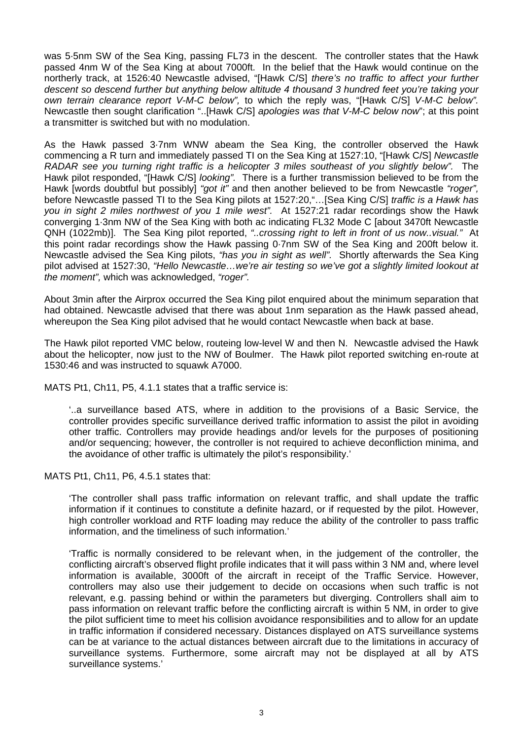was 5·5nm SW of the Sea King, passing FL73 in the descent. The controller states that the Hawk passed 4nm W of the Sea King at about 7000ft. In the belief that the Hawk would continue on the northerly track, at 1526:40 Newcastle advised, "[Hawk C/S] *there's no traffic to affect your further descent so descend further but anything below altitude 4 thousand 3 hundred feet you're taking your own terrain clearance report V-M-C below",* to which the reply was, "[Hawk C/S] *V-M-C below".*  Newcastle then sought clarification "..[Hawk C/S] *apologies was that V-M-C below now*"; at this point a transmitter is switched but with no modulation.

As the Hawk passed 3·7nm WNW abeam the Sea King, the controller observed the Hawk commencing a R turn and immediately passed TI on the Sea King at 1527:10, "[Hawk C/S] *Newcastle RADAR see you turning right traffic is a helicopter 3 miles southeast of you slightly below".* The Hawk pilot responded, "[Hawk C/S] *looking".* There is a further transmission believed to be from the Hawk [words doubtful but possibly] *"got it"* and then another believed to be from Newcastle *"roger",*  before Newcastle passed TI to the Sea King pilots at 1527:20,"…[Sea King C/S] *traffic is a Hawk has you in sight 2 miles northwest of you 1 mile west".* At 1527:21 radar recordings show the Hawk converging 1·3nm NW of the Sea King with both ac indicating FL32 Mode C [about 3470ft Newcastle QNH (1022mb)]. The Sea King pilot reported, *"..crossing right to left in front of us now..visual."* At this point radar recordings show the Hawk passing 0·7nm SW of the Sea King and 200ft below it. Newcastle advised the Sea King pilots, *"has you in sight as well".* Shortly afterwards the Sea King pilot advised at 1527:30, *"Hello Newcastle…we're air testing so we've got a slightly limited lookout at the moment",* which was acknowledged, *"roger".* 

About 3min after the Airprox occurred the Sea King pilot enquired about the minimum separation that had obtained. Newcastle advised that there was about 1nm separation as the Hawk passed ahead, whereupon the Sea King pilot advised that he would contact Newcastle when back at base.

The Hawk pilot reported VMC below, routeing low-level W and then N. Newcastle advised the Hawk about the helicopter, now just to the NW of Boulmer. The Hawk pilot reported switching en-route at 1530:46 and was instructed to squawk A7000.

MATS Pt1, Ch11, P5, 4.1.1 states that a traffic service is:

'..a surveillance based ATS, where in addition to the provisions of a Basic Service, the controller provides specific surveillance derived traffic information to assist the pilot in avoiding other traffic. Controllers may provide headings and/or levels for the purposes of positioning and/or sequencing; however, the controller is not required to achieve deconfliction minima, and the avoidance of other traffic is ultimately the pilot's responsibility.'

MATS Pt1, Ch11, P6, 4.5.1 states that:

'The controller shall pass traffic information on relevant traffic, and shall update the traffic information if it continues to constitute a definite hazard, or if requested by the pilot. However, high controller workload and RTF loading may reduce the ability of the controller to pass traffic information, and the timeliness of such information.'

'Traffic is normally considered to be relevant when, in the judgement of the controller, the conflicting aircraft's observed flight profile indicates that it will pass within 3 NM and, where level information is available, 3000ft of the aircraft in receipt of the Traffic Service. However, controllers may also use their judgement to decide on occasions when such traffic is not relevant, e.g. passing behind or within the parameters but diverging. Controllers shall aim to pass information on relevant traffic before the conflicting aircraft is within 5 NM, in order to give the pilot sufficient time to meet his collision avoidance responsibilities and to allow for an update in traffic information if considered necessary. Distances displayed on ATS surveillance systems can be at variance to the actual distances between aircraft due to the limitations in accuracy of surveillance systems. Furthermore, some aircraft may not be displayed at all by ATS surveillance systems.'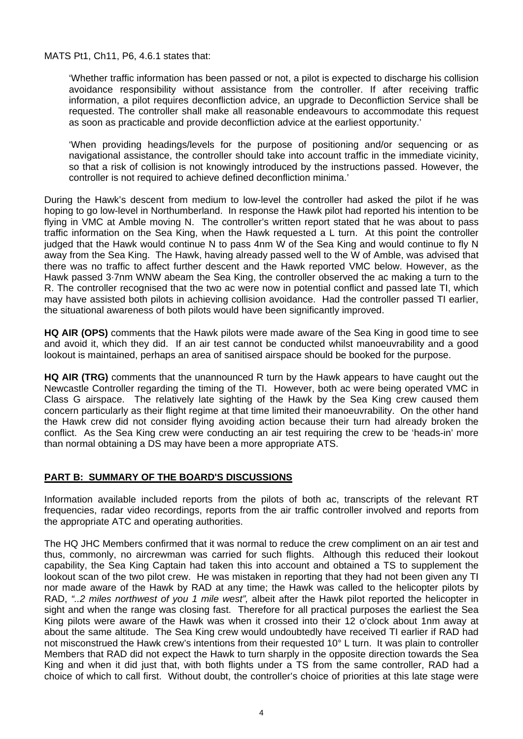MATS Pt1, Ch11, P6, 4.6.1 states that:

'Whether traffic information has been passed or not, a pilot is expected to discharge his collision avoidance responsibility without assistance from the controller. If after receiving traffic information, a pilot requires deconfliction advice, an upgrade to Deconfliction Service shall be requested. The controller shall make all reasonable endeavours to accommodate this request as soon as practicable and provide deconfliction advice at the earliest opportunity.'

'When providing headings/levels for the purpose of positioning and/or sequencing or as navigational assistance, the controller should take into account traffic in the immediate vicinity, so that a risk of collision is not knowingly introduced by the instructions passed. However, the controller is not required to achieve defined deconfliction minima.'

During the Hawk's descent from medium to low-level the controller had asked the pilot if he was hoping to go low-level in Northumberland.In response the Hawk pilot had reported his intention to be flying in VMC at Amble moving N. The controller's written report stated that he was about to pass traffic information on the Sea King, when the Hawk requested a L turn. At this point the controller judged that the Hawk would continue N to pass 4nm W of the Sea King and would continue to fly N away from the Sea King. The Hawk, having already passed well to the W of Amble, was advised that there was no traffic to affect further descent and the Hawk reported VMC below. However, as the Hawk passed 3·7nm WNW abeam the Sea King, the controller observed the ac making a turn to the R. The controller recognised that the two ac were now in potential conflict and passed late TI, which may have assisted both pilots in achieving collision avoidance. Had the controller passed TI earlier, the situational awareness of both pilots would have been significantly improved.

**HQ AIR (OPS)** comments that the Hawk pilots were made aware of the Sea King in good time to see and avoid it, which they did. If an air test cannot be conducted whilst manoeuvrability and a good lookout is maintained, perhaps an area of sanitised airspace should be booked for the purpose.

**HQ AIR (TRG)** comments that the unannounced R turn by the Hawk appears to have caught out the Newcastle Controller regarding the timing of the TI. However, both ac were being operated VMC in Class G airspace. The relatively late sighting of the Hawk by the Sea King crew caused them concern particularly as their flight regime at that time limited their manoeuvrability. On the other hand the Hawk crew did not consider flying avoiding action because their turn had already broken the conflict. As the Sea King crew were conducting an air test requiring the crew to be 'heads-in' more than normal obtaining a DS may have been a more appropriate ATS.

## **PART B: SUMMARY OF THE BOARD'S DISCUSSIONS**

Information available included reports from the pilots of both ac, transcripts of the relevant RT frequencies, radar video recordings, reports from the air traffic controller involved and reports from the appropriate ATC and operating authorities.

The HQ JHC Members confirmed that it was normal to reduce the crew compliment on an air test and thus, commonly, no aircrewman was carried for such flights. Although this reduced their lookout capability, the Sea King Captain had taken this into account and obtained a TS to supplement the lookout scan of the two pilot crew. He was mistaken in reporting that they had not been given any TI nor made aware of the Hawk by RAD at any time; the Hawk was called to the helicopter pilots by RAD, *"..2 miles northwest of you 1 mile west",* albeit after the Hawk pilot reported the helicopter in sight and when the range was closing fast. Therefore for all practical purposes the earliest the Sea King pilots were aware of the Hawk was when it crossed into their 12 o'clock about 1nm away at about the same altitude. The Sea King crew would undoubtedly have received TI earlier if RAD had not misconstrued the Hawk crew's intentions from their requested 10° L turn. It was plain to controller Members that RAD did not expect the Hawk to turn sharply in the opposite direction towards the Sea King and when it did just that, with both flights under a TS from the same controller, RAD had a choice of which to call first. Without doubt, the controller's choice of priorities at this late stage were